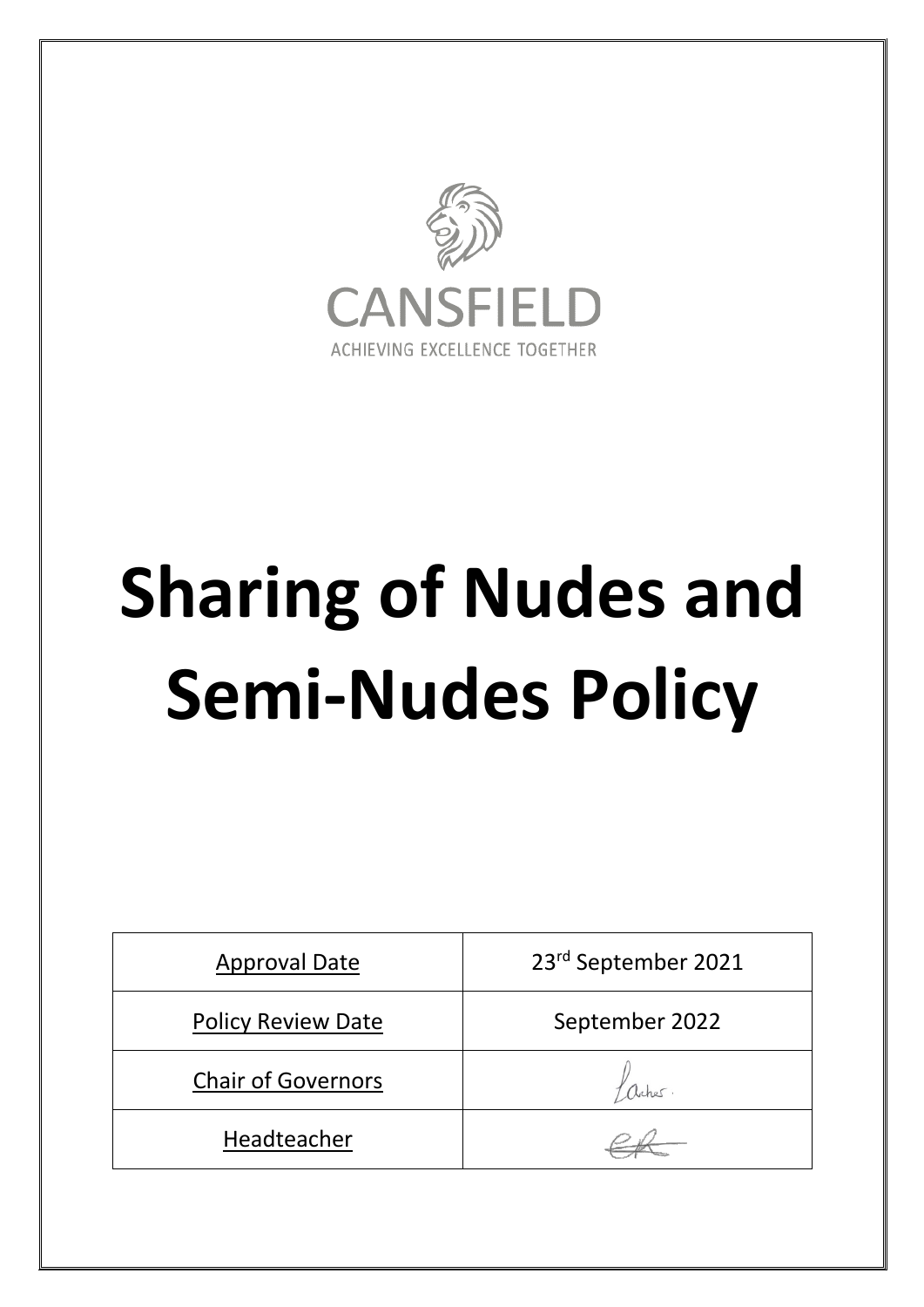

# **Sharing of Nudes and Semi-Nudes Policy**

| <b>Approval Date</b>      | 23rd September 2021 |
|---------------------------|---------------------|
| <b>Policy Review Date</b> | September 2022      |
| <b>Chair of Governors</b> | aches               |
| Headteacher               |                     |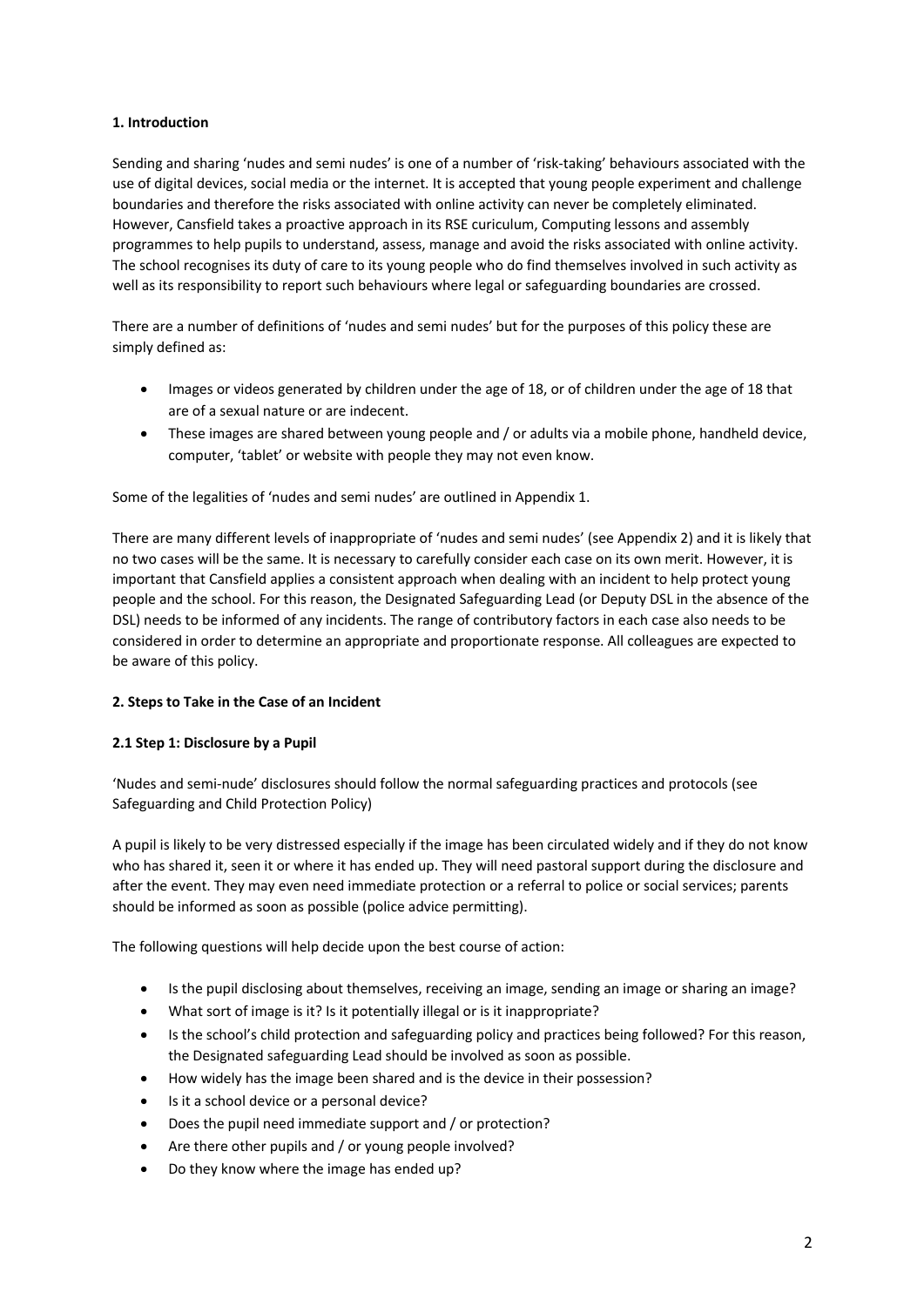# **1. Introduction**

Sending and sharing 'nudes and semi nudes' is one of a number of 'risk-taking' behaviours associated with the use of digital devices, social media or the internet. It is accepted that young people experiment and challenge boundaries and therefore the risks associated with online activity can never be completely eliminated. However, Cansfield takes a proactive approach in its RSE curiculum, Computing lessons and assembly programmes to help pupils to understand, assess, manage and avoid the risks associated with online activity. The school recognises its duty of care to its young people who do find themselves involved in such activity as well as its responsibility to report such behaviours where legal or safeguarding boundaries are crossed.

There are a number of definitions of 'nudes and semi nudes' but for the purposes of this policy these are simply defined as:

- Images or videos generated by children under the age of 18, or of children under the age of 18 that are of a sexual nature or are indecent.
- These images are shared between young people and / or adults via a mobile phone, handheld device, computer, 'tablet' or website with people they may not even know.

Some of the legalities of 'nudes and semi nudes' are outlined in Appendix 1.

There are many different levels of inappropriate of 'nudes and semi nudes' (see Appendix 2) and it is likely that no two cases will be the same. It is necessary to carefully consider each case on its own merit. However, it is important that Cansfield applies a consistent approach when dealing with an incident to help protect young people and the school. For this reason, the Designated Safeguarding Lead (or Deputy DSL in the absence of the DSL) needs to be informed of any incidents. The range of contributory factors in each case also needs to be considered in order to determine an appropriate and proportionate response. All colleagues are expected to be aware of this policy.

# **2. Steps to Take in the Case of an Incident**

# **2.1 Step 1: Disclosure by a Pupil**

'Nudes and semi-nude' disclosures should follow the normal safeguarding practices and protocols (see Safeguarding and Child Protection Policy)

A pupil is likely to be very distressed especially if the image has been circulated widely and if they do not know who has shared it, seen it or where it has ended up. They will need pastoral support during the disclosure and after the event. They may even need immediate protection or a referral to police or social services; parents should be informed as soon as possible (police advice permitting).

The following questions will help decide upon the best course of action:

- Is the pupil disclosing about themselves, receiving an image, sending an image or sharing an image?
- What sort of image is it? Is it potentially illegal or is it inappropriate?
- Is the school's child protection and safeguarding policy and practices being followed? For this reason, the Designated safeguarding Lead should be involved as soon as possible.
- How widely has the image been shared and is the device in their possession?
- Is it a school device or a personal device?
- Does the pupil need immediate support and / or protection?
- Are there other pupils and / or young people involved?
- Do they know where the image has ended up?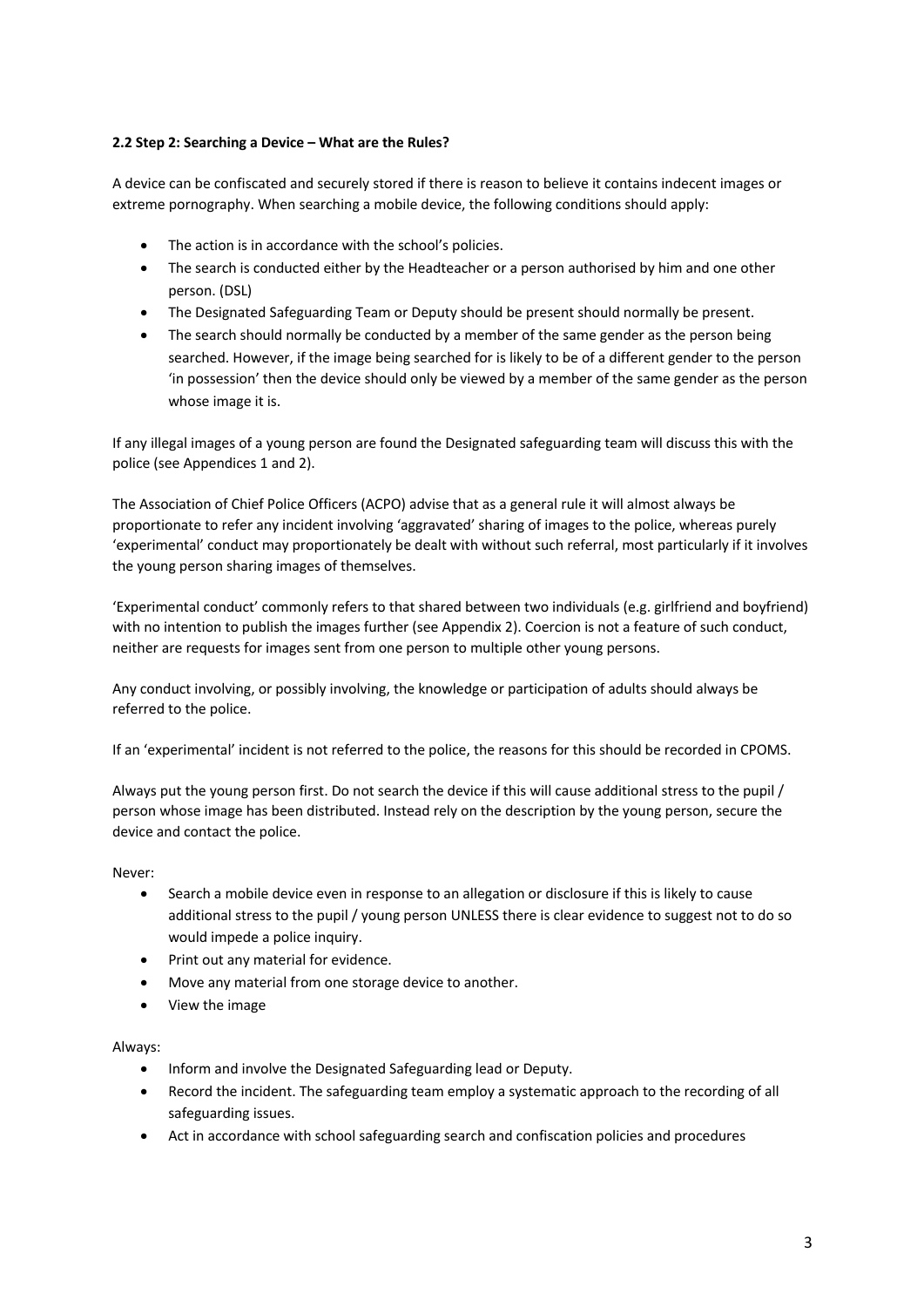# **2.2 Step 2: Searching a Device – What are the Rules?**

A device can be confiscated and securely stored if there is reason to believe it contains indecent images or extreme pornography. When searching a mobile device, the following conditions should apply:

- The action is in accordance with the school's policies.
- The search is conducted either by the Headteacher or a person authorised by him and one other person. (DSL)
- The Designated Safeguarding Team or Deputy should be present should normally be present.
- The search should normally be conducted by a member of the same gender as the person being searched. However, if the image being searched for is likely to be of a different gender to the person 'in possession' then the device should only be viewed by a member of the same gender as the person whose image it is.

If any illegal images of a young person are found the Designated safeguarding team will discuss this with the police (see Appendices 1 and 2).

The Association of Chief Police Officers (ACPO) advise that as a general rule it will almost always be proportionate to refer any incident involving 'aggravated' sharing of images to the police, whereas purely 'experimental' conduct may proportionately be dealt with without such referral, most particularly if it involves the young person sharing images of themselves.

'Experimental conduct' commonly refers to that shared between two individuals (e.g. girlfriend and boyfriend) with no intention to publish the images further (see Appendix 2). Coercion is not a feature of such conduct, neither are requests for images sent from one person to multiple other young persons.

Any conduct involving, or possibly involving, the knowledge or participation of adults should always be referred to the police.

If an 'experimental' incident is not referred to the police, the reasons for this should be recorded in CPOMS.

Always put the young person first. Do not search the device if this will cause additional stress to the pupil / person whose image has been distributed. Instead rely on the description by the young person, secure the device and contact the police.

Never:

- Search a mobile device even in response to an allegation or disclosure if this is likely to cause additional stress to the pupil / young person UNLESS there is clear evidence to suggest not to do so would impede a police inquiry.
- Print out any material for evidence.
- Move any material from one storage device to another.
- View the image

### Always:

- Inform and involve the Designated Safeguarding lead or Deputy.
- Record the incident. The safeguarding team employ a systematic approach to the recording of all safeguarding issues.
- Act in accordance with school safeguarding search and confiscation policies and procedures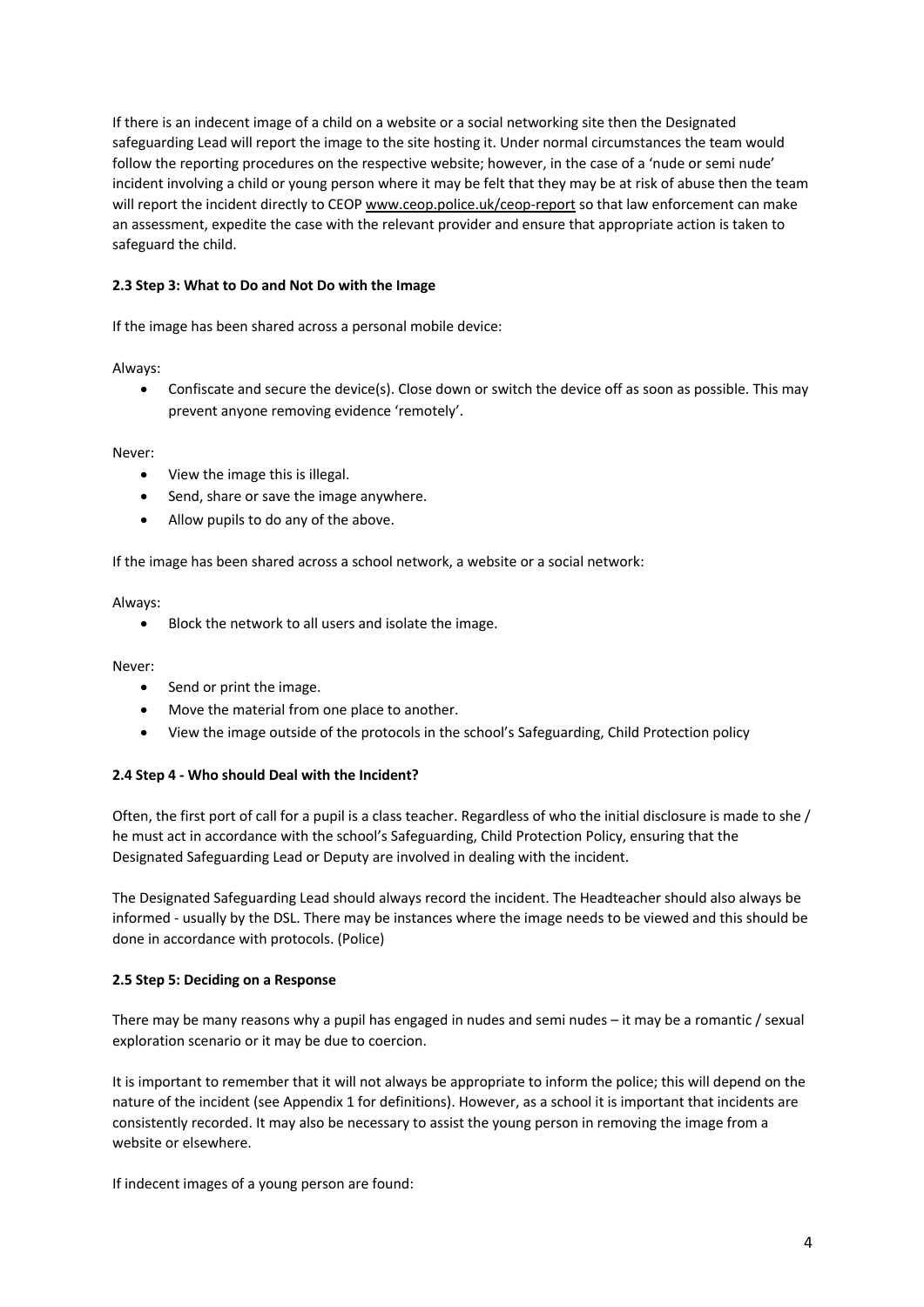If there is an indecent image of a child on a website or a social networking site then the Designated safeguarding Lead will report the image to the site hosting it. Under normal circumstances the team would follow the reporting procedures on the respective website; however, in the case of a 'nude or semi nude' incident involving a child or young person where it may be felt that they may be at risk of abuse then the team will report the incident directly to CEOP www.ceop.police.uk/ceop-report so that law enforcement can make an assessment, expedite the case with the relevant provider and ensure that appropriate action is taken to safeguard the child.

## **2.3 Step 3: What to Do and Not Do with the Image**

If the image has been shared across a personal mobile device:

Always:

• Confiscate and secure the device(s). Close down or switch the device off as soon as possible. This may prevent anyone removing evidence 'remotely'.

Never:

- View the image this is illegal.
- Send, share or save the image anywhere.
- Allow pupils to do any of the above.

If the image has been shared across a school network, a website or a social network:

Always:

• Block the network to all users and isolate the image.

Never:

- Send or print the image.
- Move the material from one place to another.
- View the image outside of the protocols in the school's Safeguarding, Child Protection policy

### **2.4 Step 4 - Who should Deal with the Incident?**

Often, the first port of call for a pupil is a class teacher. Regardless of who the initial disclosure is made to she / he must act in accordance with the school's Safeguarding, Child Protection Policy, ensuring that the Designated Safeguarding Lead or Deputy are involved in dealing with the incident.

The Designated Safeguarding Lead should always record the incident. The Headteacher should also always be informed - usually by the DSL. There may be instances where the image needs to be viewed and this should be done in accordance with protocols. (Police)

### **2.5 Step 5: Deciding on a Response**

There may be many reasons why a pupil has engaged in nudes and semi nudes – it may be a romantic / sexual exploration scenario or it may be due to coercion.

It is important to remember that it will not always be appropriate to inform the police; this will depend on the nature of the incident (see Appendix 1 for definitions). However, as a school it is important that incidents are consistently recorded. It may also be necessary to assist the young person in removing the image from a website or elsewhere.

If indecent images of a young person are found: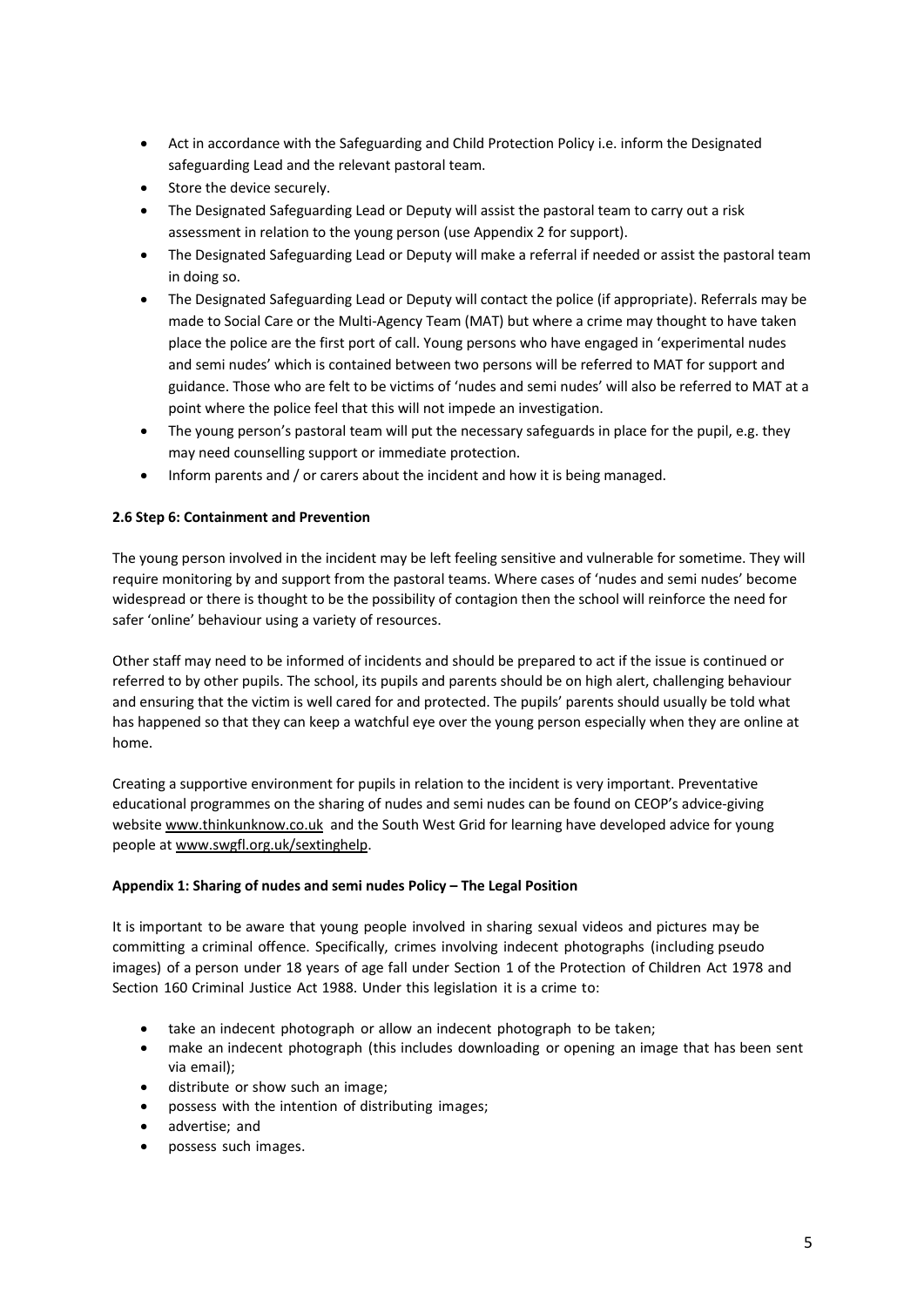- Act in accordance with the Safeguarding and Child Protection Policy i.e. inform the Designated safeguarding Lead and the relevant pastoral team.
- Store the device securely.
- The Designated Safeguarding Lead or Deputy will assist the pastoral team to carry out a risk assessment in relation to the young person (use Appendix 2 for support).
- The Designated Safeguarding Lead or Deputy will make a referral if needed or assist the pastoral team in doing so.
- The Designated Safeguarding Lead or Deputy will contact the police (if appropriate). Referrals may be made to Social Care or the Multi-Agency Team (MAT) but where a crime may thought to have taken place the police are the first port of call. Young persons who have engaged in 'experimental nudes and semi nudes' which is contained between two persons will be referred to MAT for support and guidance. Those who are felt to be victims of 'nudes and semi nudes' will also be referred to MAT at a point where the police feel that this will not impede an investigation.
- The young person's pastoral team will put the necessary safeguards in place for the pupil, e.g. they may need counselling support or immediate protection.
- Inform parents and / or carers about the incident and how it is being managed.

## **2.6 Step 6: Containment and Prevention**

The young person involved in the incident may be left feeling sensitive and vulnerable for sometime. They will require monitoring by and support from the pastoral teams. Where cases of 'nudes and semi nudes' become widespread or there is thought to be the possibility of contagion then the school will reinforce the need for safer 'online' behaviour using a variety of resources.

Other staff may need to be informed of incidents and should be prepared to act if the issue is continued or referred to by other pupils. The school, its pupils and parents should be on high alert, challenging behaviour and ensuring that the victim is well cared for and protected. The pupils' parents should usually be told what has happened so that they can keep a watchful eye over the young person especially when they are online at home.

Creating a supportive environment for pupils in relation to the incident is very important. Preventative educational programmes on the sharing of nudes and semi nudes can be found on CEOP's advice-giving website www.thinkunknow.co.uk and the South West Grid for learning have developed advice for young people at www.swgfl.org.uk/sextinghelp.

### **Appendix 1: Sharing of nudes and semi nudes Policy – The Legal Position**

It is important to be aware that young people involved in sharing sexual videos and pictures may be committing a criminal offence. Specifically, crimes involving indecent photographs (including pseudo images) of a person under 18 years of age fall under Section 1 of the Protection of Children Act 1978 and Section 160 Criminal Justice Act 1988. Under this legislation it is a crime to:

- take an indecent photograph or allow an indecent photograph to be taken;
- make an indecent photograph (this includes downloading or opening an image that has been sent via email);
- distribute or show such an image;
- possess with the intention of distributing images;
- advertise; and
- possess such images.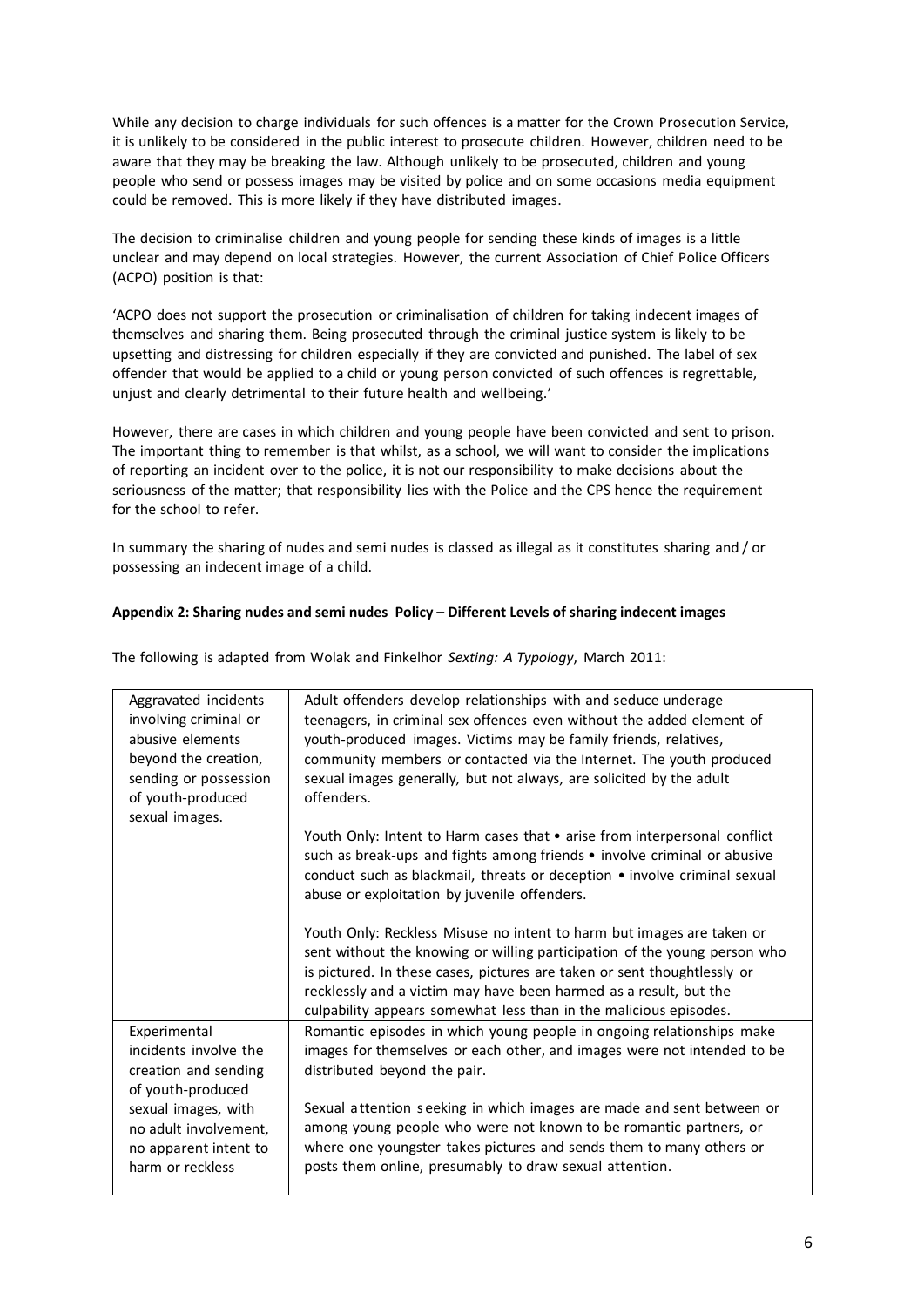While any decision to charge individuals for such offences is a matter for the Crown Prosecution Service, it is unlikely to be considered in the public interest to prosecute children. However, children need to be aware that they may be breaking the law. Although unlikely to be prosecuted, children and young people who send or possess images may be visited by police and on some occasions media equipment could be removed. This is more likely if they have distributed images.

The decision to criminalise children and young people for sending these kinds of images is a little unclear and may depend on local strategies. However, the current Association of Chief Police Officers (ACPO) position is that:

'ACPO does not support the prosecution or criminalisation of children for taking indecent images of themselves and sharing them. Being prosecuted through the criminal justice system is likely to be upsetting and distressing for children especially if they are convicted and punished. The label of sex offender that would be applied to a child or young person convicted of such offences is regrettable, unjust and clearly detrimental to their future health and wellbeing.'

However, there are cases in which children and young people have been convicted and sent to prison. The important thing to remember is that whilst, as a school, we will want to consider the implications of reporting an incident over to the police, it is not our responsibility to make decisions about the seriousness of the matter; that responsibility lies with the Police and the CPS hence the requirement for the school to refer.

In summary the sharing of nudes and semi nudes is classed as illegal as it constitutes sharing and / or possessing an indecent image of a child.

## **Appendix 2: Sharing nudes and semi nudes Policy – Different Levels of sharing indecent images**

The following is adapted from Wolak and Finkelhor *Sexting: A Typology*, March 2011:

| Aggravated incidents                                                  | Adult offenders develop relationships with and seduce underage                                                                                                                                                                                                                     |
|-----------------------------------------------------------------------|------------------------------------------------------------------------------------------------------------------------------------------------------------------------------------------------------------------------------------------------------------------------------------|
| involving criminal or                                                 | teenagers, in criminal sex offences even without the added element of                                                                                                                                                                                                              |
| abusive elements                                                      | youth-produced images. Victims may be family friends, relatives,                                                                                                                                                                                                                   |
| beyond the creation,                                                  | community members or contacted via the Internet. The youth produced                                                                                                                                                                                                                |
| sending or possession                                                 | sexual images generally, but not always, are solicited by the adult                                                                                                                                                                                                                |
| of youth-produced                                                     | offenders.                                                                                                                                                                                                                                                                         |
| sexual images.                                                        |                                                                                                                                                                                                                                                                                    |
|                                                                       | Youth Only: Intent to Harm cases that • arise from interpersonal conflict<br>such as break-ups and fights among friends • involve criminal or abusive<br>conduct such as blackmail, threats or deception • involve criminal sexual<br>abuse or exploitation by juvenile offenders. |
|                                                                       | Youth Only: Reckless Misuse no intent to harm but images are taken or<br>sent without the knowing or willing participation of the young person who                                                                                                                                 |
|                                                                       | is pictured. In these cases, pictures are taken or sent thoughtlessly or                                                                                                                                                                                                           |
|                                                                       | recklessly and a victim may have been harmed as a result, but the                                                                                                                                                                                                                  |
|                                                                       | culpability appears somewhat less than in the malicious episodes.                                                                                                                                                                                                                  |
| Experimental                                                          | Romantic episodes in which young people in ongoing relationships make                                                                                                                                                                                                              |
| incidents involve the                                                 | images for themselves or each other, and images were not intended to be                                                                                                                                                                                                            |
| creation and sending                                                  | distributed beyond the pair.                                                                                                                                                                                                                                                       |
| of youth-produced                                                     |                                                                                                                                                                                                                                                                                    |
| sexual images, with<br>no adult involvement,<br>no apparent intent to | Sexual attention seeking in which images are made and sent between or<br>among young people who were not known to be romantic partners, or<br>where one youngster takes pictures and sends them to many others or                                                                  |
| harm or reckless                                                      | posts them online, presumably to draw sexual attention.                                                                                                                                                                                                                            |
|                                                                       |                                                                                                                                                                                                                                                                                    |